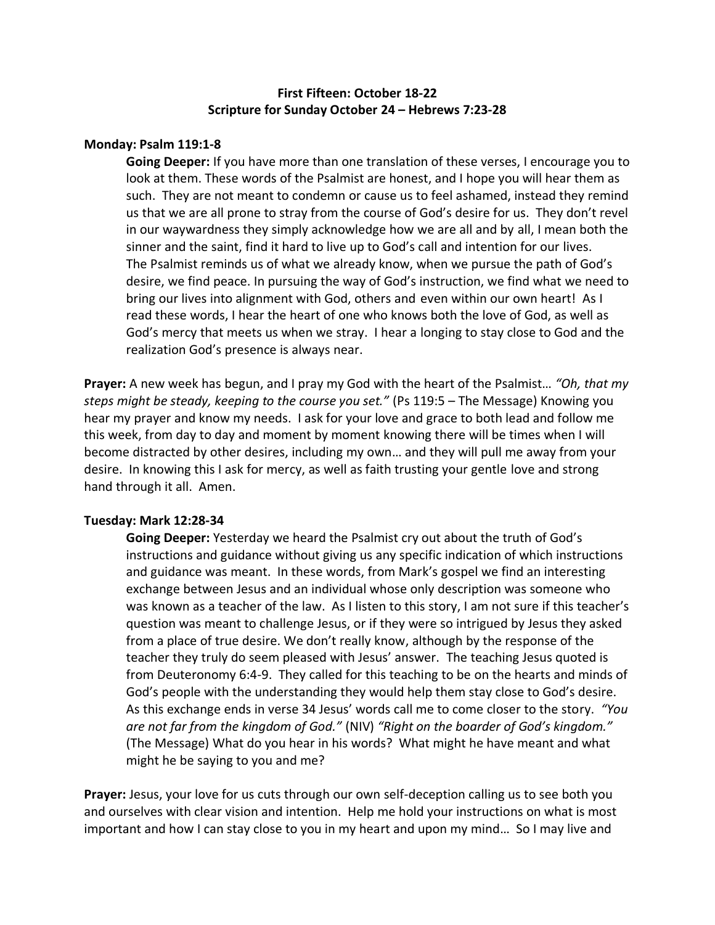# **First Fifteen: October 18-22 Scripture for Sunday October 24 – Hebrews 7:23-28**

## **Monday: Psalm 119:1-8**

**Going Deeper:** If you have more than one translation of these verses, I encourage you to look at them. These words of the Psalmist are honest, and I hope you will hear them as such. They are not meant to condemn or cause us to feel ashamed, instead they remind us that we are all prone to stray from the course of God's desire for us. They don't revel in our waywardness they simply acknowledge how we are all and by all, I mean both the sinner and the saint, find it hard to live up to God's call and intention for our lives. The Psalmist reminds us of what we already know, when we pursue the path of God's desire, we find peace. In pursuing the way of God's instruction, we find what we need to bring our lives into alignment with God, others and even within our own heart! As I read these words, I hear the heart of one who knows both the love of God, as well as God's mercy that meets us when we stray. I hear a longing to stay close to God and the realization God's presence is always near.

**Prayer:** A new week has begun, and I pray my God with the heart of the Psalmist… *"Oh, that my steps might be steady, keeping to the course you set."* (Ps 119:5 – The Message) Knowing you hear my prayer and know my needs. I ask for your love and grace to both lead and follow me this week, from day to day and moment by moment knowing there will be times when I will become distracted by other desires, including my own… and they will pull me away from your desire. In knowing this I ask for mercy, as well as faith trusting your gentle love and strong hand through it all. Amen.

#### **Tuesday: Mark 12:28-34**

**Going Deeper:** Yesterday we heard the Psalmist cry out about the truth of God's instructions and guidance without giving us any specific indication of which instructions and guidance was meant. In these words, from Mark's gospel we find an interesting exchange between Jesus and an individual whose only description was someone who was known as a teacher of the law. As I listen to this story, I am not sure if this teacher's question was meant to challenge Jesus, or if they were so intrigued by Jesus they asked from a place of true desire. We don't really know, although by the response of the teacher they truly do seem pleased with Jesus' answer. The teaching Jesus quoted is from Deuteronomy 6:4-9. They called for this teaching to be on the hearts and minds of God's people with the understanding they would help them stay close to God's desire. As this exchange ends in verse 34 Jesus' words call me to come closer to the story. *"You are not far from the kingdom of God."* (NIV) *"Right on the boarder of God's kingdom."*  (The Message) What do you hear in his words? What might he have meant and what might he be saying to you and me?

**Prayer:** Jesus, your love for us cuts through our own self-deception calling us to see both you and ourselves with clear vision and intention. Help me hold your instructions on what is most important and how I can stay close to you in my heart and upon my mind… So I may live and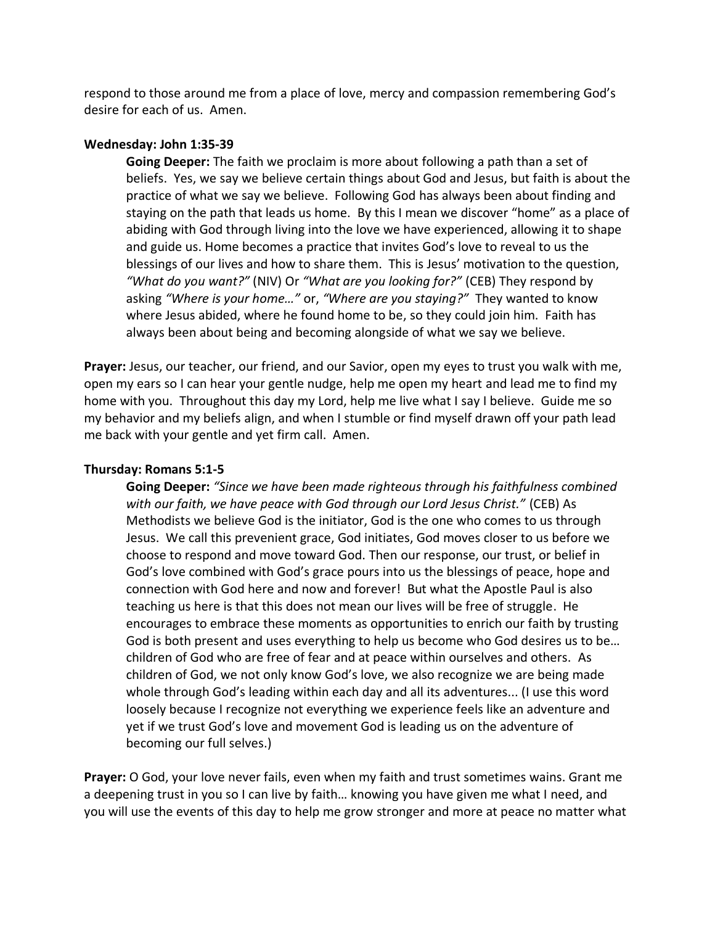respond to those around me from a place of love, mercy and compassion remembering God's desire for each of us. Amen.

### **Wednesday: John 1:35-39**

**Going Deeper:** The faith we proclaim is more about following a path than a set of beliefs. Yes, we say we believe certain things about God and Jesus, but faith is about the practice of what we say we believe. Following God has always been about finding and staying on the path that leads us home. By this I mean we discover "home" as a place of abiding with God through living into the love we have experienced, allowing it to shape and guide us. Home becomes a practice that invites God's love to reveal to us the blessings of our lives and how to share them. This is Jesus' motivation to the question, *"What do you want?"* (NIV) Or *"What are you looking for?"* (CEB) They respond by asking *"Where is your home…"* or, *"Where are you staying?"* They wanted to know where Jesus abided, where he found home to be, so they could join him. Faith has always been about being and becoming alongside of what we say we believe.

**Prayer:** Jesus, our teacher, our friend, and our Savior, open my eyes to trust you walk with me, open my ears so I can hear your gentle nudge, help me open my heart and lead me to find my home with you. Throughout this day my Lord, help me live what I say I believe. Guide me so my behavior and my beliefs align, and when I stumble or find myself drawn off your path lead me back with your gentle and yet firm call. Amen.

## **Thursday: Romans 5:1-5**

**Going Deeper:** *"Since we have been made righteous through his faithfulness combined with our faith, we have peace with God through our Lord Jesus Christ."* (CEB) As Methodists we believe God is the initiator, God is the one who comes to us through Jesus. We call this prevenient grace, God initiates, God moves closer to us before we choose to respond and move toward God. Then our response, our trust, or belief in God's love combined with God's grace pours into us the blessings of peace, hope and connection with God here and now and forever! But what the Apostle Paul is also teaching us here is that this does not mean our lives will be free of struggle. He encourages to embrace these moments as opportunities to enrich our faith by trusting God is both present and uses everything to help us become who God desires us to be… children of God who are free of fear and at peace within ourselves and others. As children of God, we not only know God's love, we also recognize we are being made whole through God's leading within each day and all its adventures... (I use this word loosely because I recognize not everything we experience feels like an adventure and yet if we trust God's love and movement God is leading us on the adventure of becoming our full selves.)

**Prayer:** O God, your love never fails, even when my faith and trust sometimes wains. Grant me a deepening trust in you so I can live by faith… knowing you have given me what I need, and you will use the events of this day to help me grow stronger and more at peace no matter what